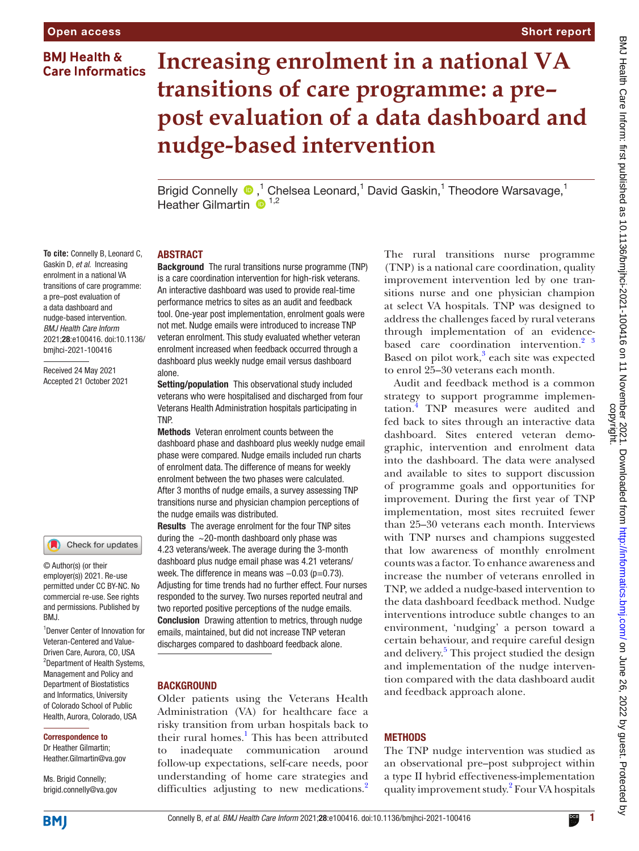# **BMI Health & Care Informatics**

**To cite:** Connelly B, Leonard C, Gaskin D, *et al*. Increasing enrolment in a national VA transitions of care programme: a pre–post evaluation of a data dashboard and nudge-based intervention. *BMJ Health Care Inform* 2021;28:e100416. doi:10.1136/ bmjhci-2021-100416 Received 24 May 2021 Accepted 21 October 2021

# Short report

# **Increasing enrolment in a national VA transitions of care programme: a pre– post evaluation of a data dashboard and nudge-based intervention**

Brigid Connelly  $\bigcirc$ ,<sup>1</sup> Chelsea Leonard,<sup>1</sup> David Gaskin,<sup>1</sup> Theodore Warsavage,<sup>1</sup> Heather Gilmartin  $\mathbf{D}^{1,2}$ 

#### ABSTRACT

Background The rural transitions nurse programme (TNP) is a care coordination intervention for high-risk veterans. An interactive dashboard was used to provide real-time performance metrics to sites as an audit and feedback tool. One-year post implementation, enrolment goals were not met. Nudge emails were introduced to increase TNP veteran enrolment. This study evaluated whether veteran enrolment increased when feedback occurred through a dashboard plus weekly nudge email versus dashboard alone.

Setting/population This observational study included veterans who were hospitalised and discharged from four Veterans Health Administration hospitals participating in TNP.

Methods Veteran enrolment counts between the dashboard phase and dashboard plus weekly nudge email phase were compared. Nudge emails included run charts of enrolment data. The difference of means for weekly enrolment between the two phases were calculated. After 3 months of nudge emails, a survey assessing TNP transitions nurse and physician champion perceptions of the nudge emails was distributed.

Results The average enrolment for the four TNP sites during the  $\sim$ 20-month dashboard only phase was 4.23 veterans/week. The average during the 3-month dashboard plus nudge email phase was 4.21 veterans/ week. The difference in means was -0.03 (p=0.73). Adjusting for time trends had no further effect. Four nurses responded to the survey. Two nurses reported neutral and two reported positive perceptions of the nudge emails. Conclusion Drawing attention to metrics, through nudge emails, maintained, but did not increase TNP veteran discharges compared to dashboard feedback alone.

#### **BACKGROUND**

Older patients using the Veterans Health Administration (VA) for healthcare face a risky transition from urban hospitals back to their rural homes.<sup>[1](#page-2-0)</sup> This has been attributed to inadequate communication around follow-up expectations, self-care needs, poor understanding of home care strategies and difficulties adjusting to new medications.<sup>[2](#page-2-1)</sup>

The rural transitions nurse programme (TNP) is a national care coordination, quality improvement intervention led by one transitions nurse and one physician champion at select VA hospitals. TNP was designed to address the challenges faced by rural veterans through implementation of an evidencebased care coordination intervention. $2^{3}$ Based on pilot work,<sup>3</sup> each site was expected to enrol 25–30 veterans each month.

Audit and feedback method is a common strategy to support programme implementation.[4](#page-2-3) TNP measures were audited and fed back to sites through an interactive data dashboard. Sites entered veteran demographic, intervention and enrolment data into the dashboard. The data were analysed and available to sites to support discussion of programme goals and opportunities for improvement. During the first year of TNP implementation, most sites recruited fewer than 25–30 veterans each month. Interviews with TNP nurses and champions suggested that low awareness of monthly enrolment counts was a factor. To enhance awareness and increase the number of veterans enrolled in TNP, we added a nudge-based intervention to the data dashboard feedback method. Nudge interventions introduce subtle changes to an environment, 'nudging' a person toward a certain behaviour, and require careful design and delivery.<sup>[5](#page-2-4)</sup> This project studied the design and implementation of the nudge intervention compared with the data dashboard audit and feedback approach alone.

### **METHODS**

The TNP nudge intervention was studied as an observational pre–post subproject within a type II hybrid effectiveness-implementation quality improvement study. [2](#page-2-1) Four VA hospitals

# **BMI**

Correspondence to Dr Heather Gilmartin; Heather.Gilmartin@va.gov

Ms. Brigid Connelly; brigid.connelly@va.gov

1 Denver Center of Innovation for Veteran-Centered and Value-Driven Care, Aurora, CO, USA <sup>2</sup>Department of Health Systems, Management and Policy and Department of Biostatistics and Informatics, University of Colorado School of Public Health, Aurora, Colorado, USA

Check for updates

© Author(s) (or their employer(s)) 2021. Re-use permitted under CC BY-NC. No commercial re-use. See rights and permissions. Published by

BMJ.

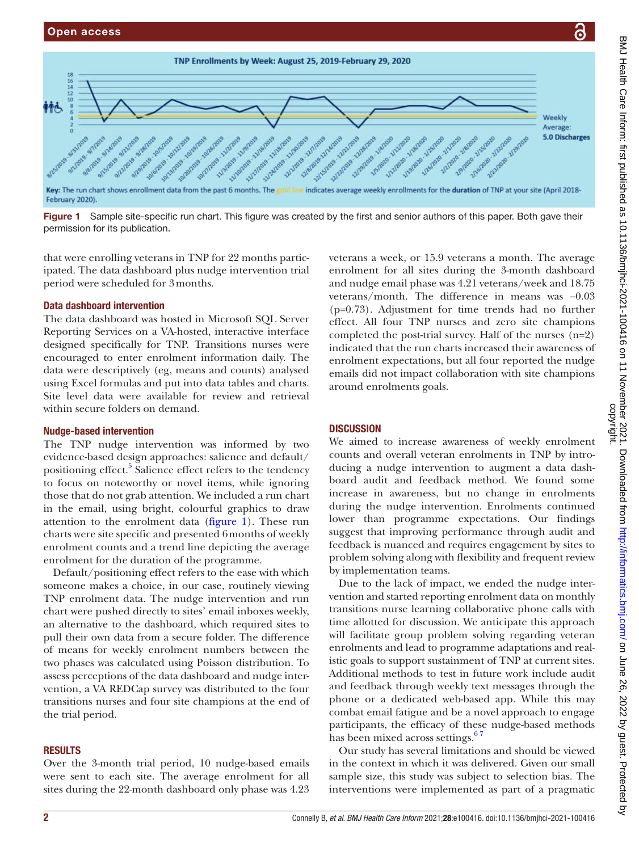

<span id="page-1-0"></span>Figure 1 Sample site-specific run chart. This figure was created by the first and senior authors of this paper. Both gave their permission for its publication.

that were enrolling veterans in TNP for 22 months participated. The data dashboard plus nudge intervention trial period were scheduled for 3months.

#### Data dashboard intervention

The data dashboard was hosted in Microsoft SQL Server Reporting Services on a VA-hosted, interactive interface designed specifically for TNP. Transitions nurses were encouraged to enter enrolment information daily. The data were descriptively (eg, means and counts) analysed using Excel formulas and put into data tables and charts. Site level data were available for review and retrieval within secure folders on demand.

### Nudge-based intervention

The TNP nudge intervention was informed by two evidence-based design approaches: salience and default/ positioning effect.<sup>[5](#page-2-4)</sup> Salience effect refers to the tendency to focus on noteworthy or novel items, while ignoring those that do not grab attention. We included a run chart in the email, using bright, colourful graphics to draw attention to the enrolment data ([figure](#page-1-0) 1). These run charts were site specific and presented 6months of weekly enrolment counts and a trend line depicting the average enrolment for the duration of the programme.

Default/positioning effect refers to the ease with which someone makes a choice, in our case, routinely viewing TNP enrolment data. The nudge intervention and run chart were pushed directly to sites' email inboxes weekly, an alternative to the dashboard, which required sites to pull their own data from a secure folder. The difference of means for weekly enrolment numbers between the two phases was calculated using Poisson distribution. To assess perceptions of the data dashboard and nudge intervention, a VA REDCap survey was distributed to the four transitions nurses and four site champions at the end of the trial period.

# RESULTS

Over the 3-month trial period, 10 nudge-based emails were sent to each site. The average enrolment for all sites during the 22-month dashboard only phase was 4.23 veterans a week, or 15.9 veterans a month. The average enrolment for all sites during the 3-month dashboard and nudge email phase was 4.21 veterans/week and 18.75 veterans/month. The difference in means was −0.03 (p=0.73). Adjustment for time trends had no further effect. All four TNP nurses and zero site champions completed the post-trial survey. Half of the nurses (n=2) indicated that the run charts increased their awareness of enrolment expectations, but all four reported the nudge emails did not impact collaboration with site champions around enrolments goals.

# **DISCUSSION**

We aimed to increase awareness of weekly enrolment counts and overall veteran enrolments in TNP by introducing a nudge intervention to augment a data dashboard audit and feedback method. We found some increase in awareness, but no change in enrolments during the nudge intervention. Enrolments continued lower than programme expectations. Our findings suggest that improving performance through audit and feedback is nuanced and requires engagement by sites to problem solving along with flexibility and frequent review by implementation teams.

Due to the lack of impact, we ended the nudge intervention and started reporting enrolment data on monthly transitions nurse learning collaborative phone calls with time allotted for discussion. We anticipate this approach will facilitate group problem solving regarding veteran enrolments and lead to programme adaptations and realistic goals to support sustainment of TNP at current sites. Additional methods to test in future work include audit and feedback through weekly text messages through the phone or a dedicated web-based app. While this may combat email fatigue and be a novel approach to engage participants, the efficacy of these nudge-based methods has been mixed across settings.<sup>67</sup>

Our study has several limitations and should be viewed in the context in which it was delivered. Given our small sample size, this study was subject to selection bias. The interventions were implemented as part of a pragmatic

ဥ